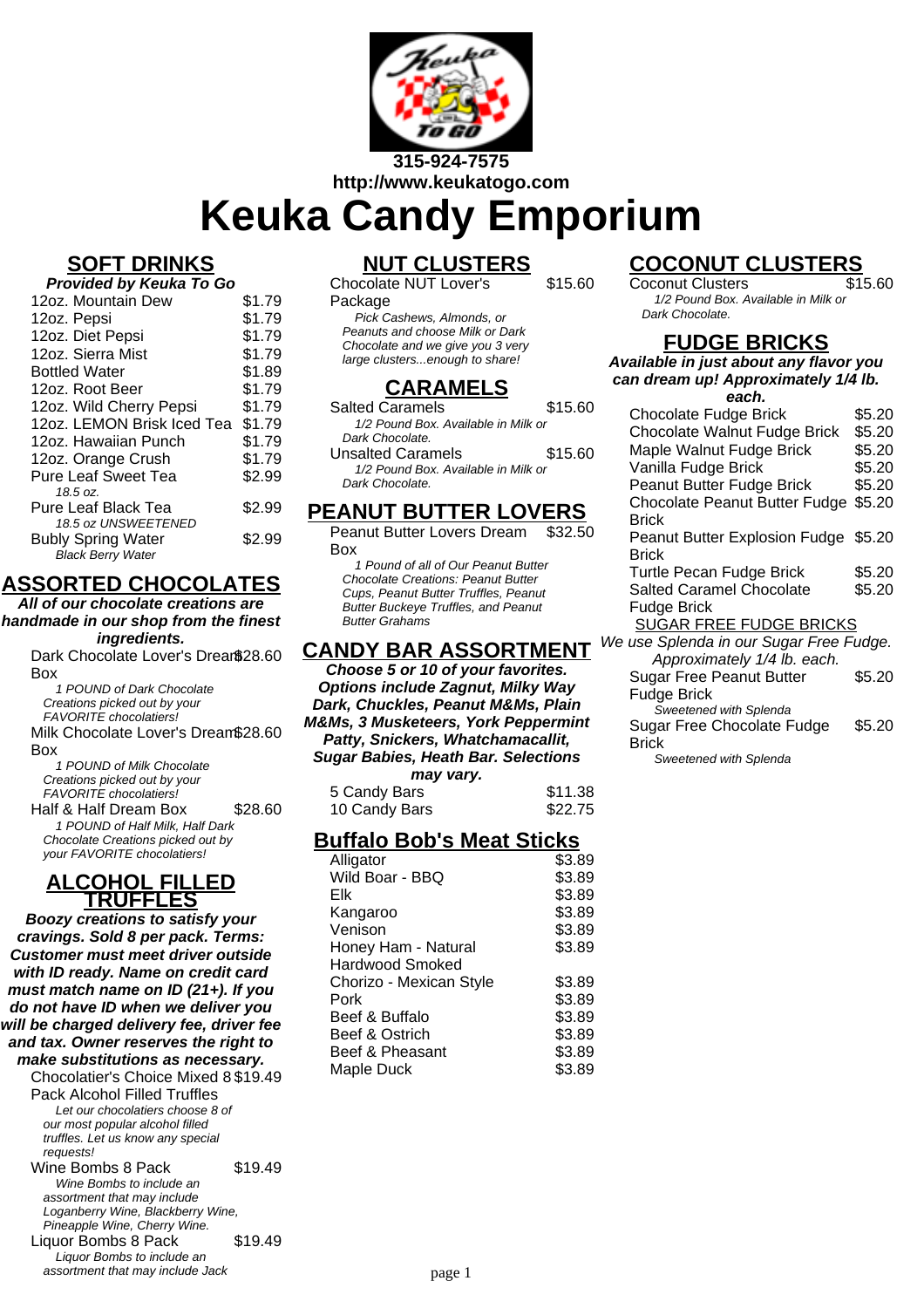

**Keuka Candy Emporium**

## **SOFT DRINKS**

| Provided by Keuka To Go    |        |
|----------------------------|--------|
| 12oz. Mountain Dew         | \$1.79 |
| 12oz. Pepsi                | \$1.79 |
| 12oz. Diet Pepsi           | \$1.79 |
| 12oz. Sierra Mist          | \$1.79 |
| <b>Bottled Water</b>       | \$1.89 |
| 12oz. Root Beer            | \$1.79 |
| 12oz. Wild Cherry Pepsi    | \$1.79 |
| 12oz. LEMON Brisk Iced Tea | \$1.79 |
| 12oz. Hawaiian Punch       | \$1.79 |
| 12oz. Orange Crush         | \$1.79 |
| <b>Pure Leaf Sweet Tea</b> | \$2.99 |
| 18.5 oz.                   |        |
| Pure Leaf Black Tea        | \$2.99 |
| 18.5 oz UNSWEETENED        |        |
| <b>Bubly Spring Water</b>  | \$2.99 |
| <b>Black Berry Water</b>   |        |

## **ASSORTED CHOCOLATES**

**All of our chocolate creations are handmade in our shop from the finest ingredients.**

Dark Chocolate Lover's Dream \$28.60 Box

1 POUND of Dark Chocolate Creations picked out by your FAVORITE chocolatiers!

Milk Chocolate Lover's Dream \$28.60 Box

1 POUND of Milk Chocolate Creations picked out by your FAVORITE chocolatiers!

Half & Half Dream Box \$28.60 1 POUND of Half Milk, Half Dark Chocolate Creations picked out by your FAVORITE chocolatiers!

### **ALCOHOL FILLED TRUFFLES**

**Boozy creations to satisfy your cravings. Sold 8 per pack. Terms: Customer must meet driver outside with ID ready. Name on credit card must match name on ID (21+). If you do not have ID when we deliver you will be charged delivery fee, driver fee and tax. Owner reserves the right to make substitutions as necessary.**

Chocolatier's Choice Mixed 8 \$19.49 Pack Alcohol Filled Truffles Let our chocolatiers choose 8 of our most popular alcohol filled truffles. Let us know any special requests! Wine Bombs 8 Pack \$19.49

Wine Bombs to include an assortment that may include Loganberry Wine, Blackberry Wine, Pineapple Wine, Cherry Wine. Liquor Bombs 8 Pack \$19.49

Liquor Bombs to include an assortment that may include Jack

# **NUT CLUSTERS**

Chocolate NUT Lover's

#### Package

Pick Cashews, Almonds, or Peanuts and choose Milk or Dark Chocolate and we give you 3 very large clusters...enough to share!

## **CARAMELS**

Salted Caramels \$15.60 1/2 Pound Box. Available in Milk or Dark Chocolate.

Unsalted Caramels **\$15.60** 1/2 Pound Box. Available in Milk or Dark Chocolate.

### **PEANUT BUTTER LOVERS**

Peanut Butter Lovers Dream Box \$32.50

1 Pound of all of Our Peanut Butter Chocolate Creations: Peanut Butter Cups, Peanut Butter Truffles, Peanut **Butter Buckeve Truffles, and Peanut** Butter Grahams

## **CANDY BAR ASSORTMENT**

**Choose 5 or 10 of your favorites. Options include Zagnut, Milky Way Dark, Chuckles, Peanut M&Ms, Plain M&Ms, 3 Musketeers, York Peppermint Patty, Snickers, Whatchamacallit, Sugar Babies, Heath Bar. Selections may vary.**

| 5 Candy Bars  | \$11.38 |
|---------------|---------|
| 10 Candy Bars | \$22.75 |

## **Buffalo Bob's Meat Sticks**

| Alligator               | \$3.89 |
|-------------------------|--------|
| Wild Boar - BBQ         | \$3.89 |
| Elk                     | \$3.89 |
| Kangaroo                | \$3.89 |
| Venison                 | \$3.89 |
| Honey Ham - Natural     | \$3.89 |
| <b>Hardwood Smoked</b>  |        |
| Chorizo - Mexican Style | \$3.89 |
| Pork                    | \$3.89 |
| Beef & Buffalo          | \$3.89 |
| Beef & Ostrich          | \$3.89 |
| Beef & Pheasant         | \$3.89 |
| Maple Duck              | \$3.89 |
|                         |        |

# **COCONUT CLUSTERS**

Coconut Clusters 1/2 Pound Box. Available in Milk or Dark Chocolate.

## **FUDGE BRICKS**

**Available in just about any flavor you can dream up! Approximately 1/4 lb. each.**

| cac.                                    |        |
|-----------------------------------------|--------|
| <b>Chocolate Fudge Brick</b>            | \$5.20 |
| Chocolate Walnut Fudge Brick            | \$5.20 |
| Maple Walnut Fudge Brick                | \$5.20 |
| Vanilla Fudge Brick                     | \$5.20 |
| Peanut Butter Fudge Brick               | \$5.20 |
| Chocolate Peanut Butter Fudge           | \$5.20 |
| Brick                                   |        |
| Peanut Butter Explosion Fudge \$5.20    |        |
| Brick                                   |        |
| Turtle Pecan Fudge Brick                | \$5.20 |
| <b>Salted Caramel Chocolate</b>         | \$5.20 |
| <b>Fudge Brick</b>                      |        |
| <b>SUGAR FREE FUDGE BRICKS</b>          |        |
| We use Splenda in our Sugar Free Fudge. |        |
| Approximately 1/4 lb. each.             |        |
| <b>Sugar Free Peanut Butter</b>         | \$5.20 |
| Fudge Brick                             |        |
| Sweetened with Splenda                  |        |
| Sugar Free Chocolate Fudge              | \$5.20 |
| Brick                                   |        |

Sweetened with Splenda

\$15.60